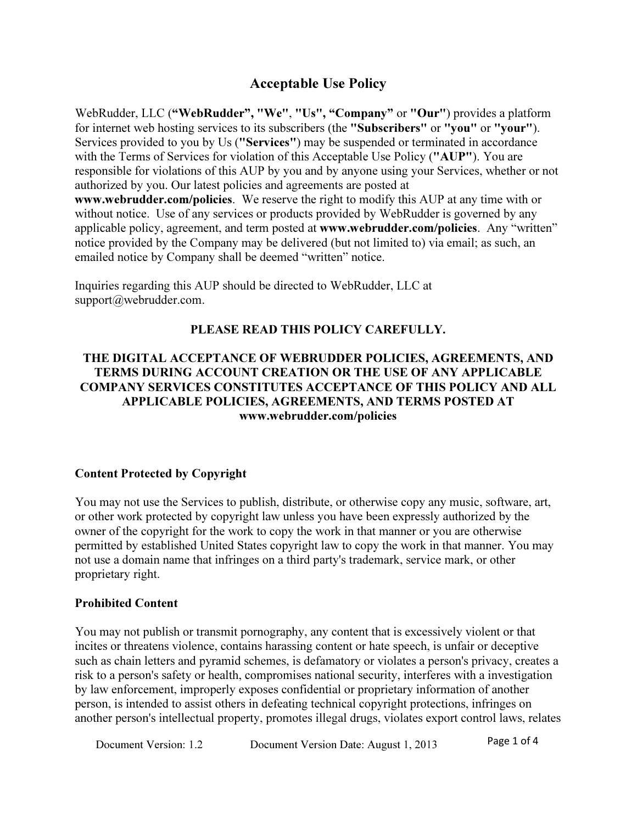# Acceptable Use Policy

WebRudder, LLC ("WebRudder", "We", "Us", "Company" or "Our") provides a platform for internet web hosting services to its subscribers (the "Subscribers" or "you" or "your"). Services provided to you by Us ("Services") may be suspended or terminated in accordance with the Terms of Services for violation of this Acceptable Use Policy ("AUP"). You are responsible for violations of this AUP by you and by anyone using your Services, whether or not authorized by you. Our latest policies and agreements are posted at www.webrudder.com/policies. We reserve the right to modify this AUP at any time with or without notice. Use of any services or products provided by WebRudder is governed by any applicable policy, agreement, and term posted at www.webrudder.com/policies. Any "written" notice provided by the Company may be delivered (but not limited to) via email; as such, an emailed notice by Company shall be deemed "written" notice.

Inquiries regarding this AUP should be directed to WebRudder, LLC at support@webrudder.com.

#### PLEASE READ THIS POLICY CAREFULLY.

### THE DIGITAL ACCEPTANCE OF WEBRUDDER POLICIES, AGREEMENTS, AND TERMS DURING ACCOUNT CREATION OR THE USE OF ANY APPLICABLE COMPANY SERVICES CONSTITUTES ACCEPTANCE OF THIS POLICY AND ALL APPLICABLE POLICIES, AGREEMENTS, AND TERMS POSTED AT www.webrudder.com/policies

#### Content Protected by Copyright

You may not use the Services to publish, distribute, or otherwise copy any music, software, art, or other work protected by copyright law unless you have been expressly authorized by the owner of the copyright for the work to copy the work in that manner or you are otherwise permitted by established United States copyright law to copy the work in that manner. You may not use a domain name that infringes on a third party's trademark, service mark, or other proprietary right.

#### Prohibited Content

You may not publish or transmit pornography, any content that is excessively violent or that incites or threatens violence, contains harassing content or hate speech, is unfair or deceptive such as chain letters and pyramid schemes, is defamatory or violates a person's privacy, creates a risk to a person's safety or health, compromises national security, interferes with a investigation by law enforcement, improperly exposes confidential or proprietary information of another person, is intended to assist others in defeating technical copyright protections, infringes on another person's intellectual property, promotes illegal drugs, violates export control laws, relates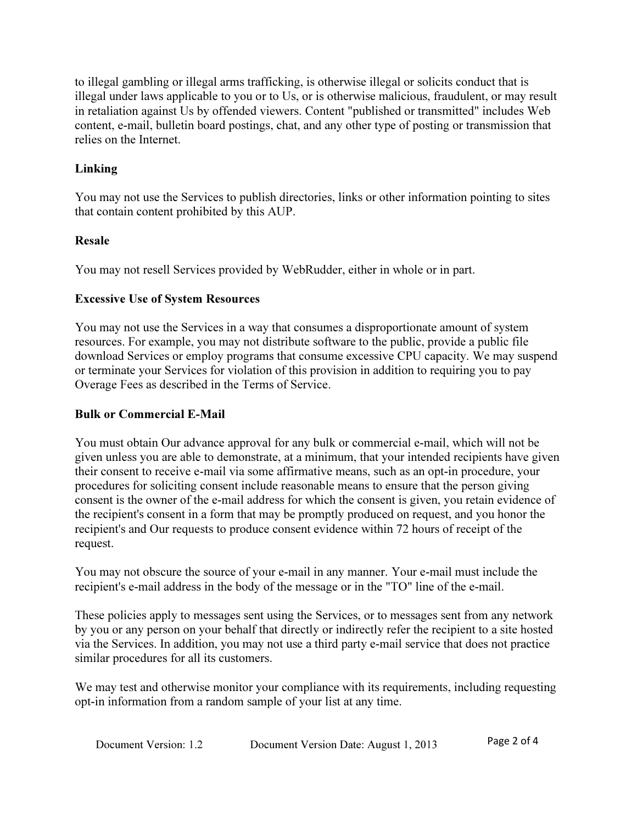to illegal gambling or illegal arms trafficking, is otherwise illegal or solicits conduct that is illegal under laws applicable to you or to Us, or is otherwise malicious, fraudulent, or may result in retaliation against Us by offended viewers. Content "published or transmitted" includes Web content, e-mail, bulletin board postings, chat, and any other type of posting or transmission that relies on the Internet.

## Linking

You may not use the Services to publish directories, links or other information pointing to sites that contain content prohibited by this AUP.

### Resale

You may not resell Services provided by WebRudder, either in whole or in part.

### Excessive Use of System Resources

You may not use the Services in a way that consumes a disproportionate amount of system resources. For example, you may not distribute software to the public, provide a public file download Services or employ programs that consume excessive CPU capacity. We may suspend or terminate your Services for violation of this provision in addition to requiring you to pay Overage Fees as described in the Terms of Service.

## Bulk or Commercial E-Mail

You must obtain Our advance approval for any bulk or commercial e-mail, which will not be given unless you are able to demonstrate, at a minimum, that your intended recipients have given their consent to receive e-mail via some affirmative means, such as an opt-in procedure, your procedures for soliciting consent include reasonable means to ensure that the person giving consent is the owner of the e-mail address for which the consent is given, you retain evidence of the recipient's consent in a form that may be promptly produced on request, and you honor the recipient's and Our requests to produce consent evidence within 72 hours of receipt of the request.

You may not obscure the source of your e-mail in any manner. Your e-mail must include the recipient's e-mail address in the body of the message or in the "TO" line of the e-mail.

These policies apply to messages sent using the Services, or to messages sent from any network by you or any person on your behalf that directly or indirectly refer the recipient to a site hosted via the Services. In addition, you may not use a third party e-mail service that does not practice similar procedures for all its customers.

We may test and otherwise monitor your compliance with its requirements, including requesting opt-in information from a random sample of your list at any time.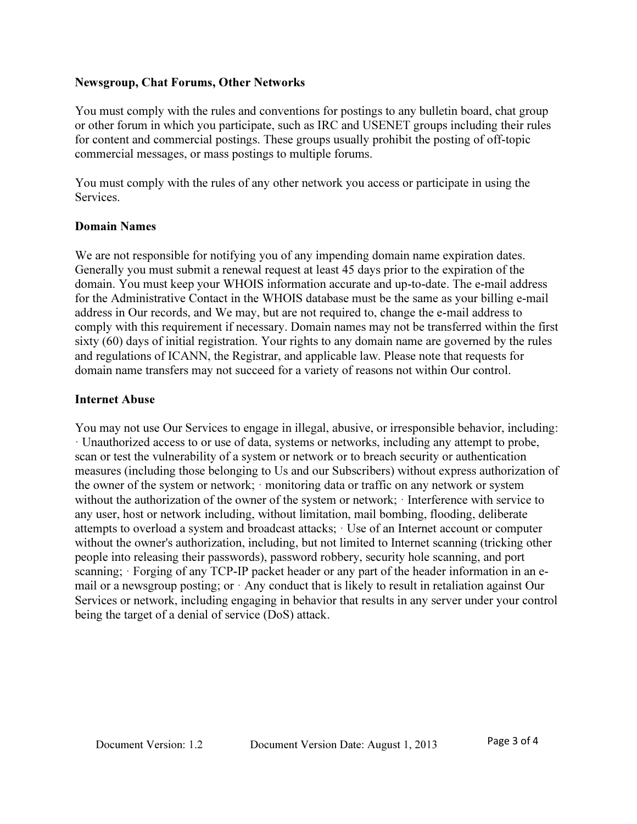### Newsgroup, Chat Forums, Other Networks

You must comply with the rules and conventions for postings to any bulletin board, chat group or other forum in which you participate, such as IRC and USENET groups including their rules for content and commercial postings. These groups usually prohibit the posting of off-topic commercial messages, or mass postings to multiple forums.

You must comply with the rules of any other network you access or participate in using the Services.

#### Domain Names

We are not responsible for notifying you of any impending domain name expiration dates. Generally you must submit a renewal request at least 45 days prior to the expiration of the domain. You must keep your WHOIS information accurate and up-to-date. The e-mail address for the Administrative Contact in the WHOIS database must be the same as your billing e-mail address in Our records, and We may, but are not required to, change the e-mail address to comply with this requirement if necessary. Domain names may not be transferred within the first sixty (60) days of initial registration. Your rights to any domain name are governed by the rules and regulations of ICANN, the Registrar, and applicable law. Please note that requests for domain name transfers may not succeed for a variety of reasons not within Our control.

#### Internet Abuse

You may not use Our Services to engage in illegal, abusive, or irresponsible behavior, including: · Unauthorized access to or use of data, systems or networks, including any attempt to probe, scan or test the vulnerability of a system or network or to breach security or authentication measures (including those belonging to Us and our Subscribers) without express authorization of the owner of the system or network; · monitoring data or traffic on any network or system without the authorization of the owner of the system or network: Interference with service to any user, host or network including, without limitation, mail bombing, flooding, deliberate attempts to overload a system and broadcast attacks; · Use of an Internet account or computer without the owner's authorization, including, but not limited to Internet scanning (tricking other people into releasing their passwords), password robbery, security hole scanning, and port scanning; · Forging of any TCP-IP packet header or any part of the header information in an email or a newsgroup posting; or · Any conduct that is likely to result in retaliation against Our Services or network, including engaging in behavior that results in any server under your control being the target of a denial of service (DoS) attack.